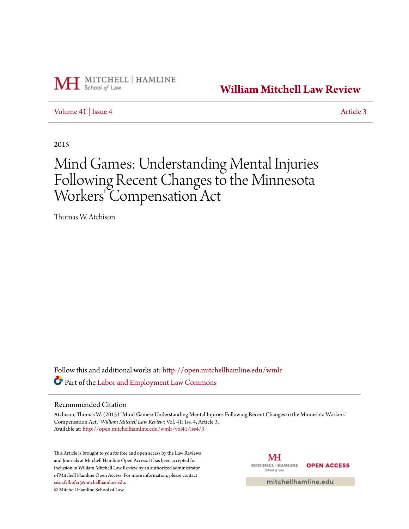

**[William Mitchell Law Review](http://open.mitchellhamline.edu/wmlr?utm_source=open.mitchellhamline.edu%2Fwmlr%2Fvol41%2Fiss4%2F3&utm_medium=PDF&utm_campaign=PDFCoverPages)**

[Volume 41](http://open.mitchellhamline.edu/wmlr/vol41?utm_source=open.mitchellhamline.edu%2Fwmlr%2Fvol41%2Fiss4%2F3&utm_medium=PDF&utm_campaign=PDFCoverPages) | [Issue 4](http://open.mitchellhamline.edu/wmlr/vol41/iss4?utm_source=open.mitchellhamline.edu%2Fwmlr%2Fvol41%2Fiss4%2F3&utm_medium=PDF&utm_campaign=PDFCoverPages) [Article 3](http://open.mitchellhamline.edu/wmlr/vol41/iss4/3?utm_source=open.mitchellhamline.edu%2Fwmlr%2Fvol41%2Fiss4%2F3&utm_medium=PDF&utm_campaign=PDFCoverPages)

2015

# Mind Games: Understanding Mental Injuries Following Recent Changes to the Minnesota Workers' Compensation Act

Thomas W. Atchison

Follow this and additional works at: [http://open.mitchellhamline.edu/wmlr](http://open.mitchellhamline.edu/wmlr?utm_source=open.mitchellhamline.edu%2Fwmlr%2Fvol41%2Fiss4%2F3&utm_medium=PDF&utm_campaign=PDFCoverPages) Part of the [Labor and Employment Law Commons](http://network.bepress.com/hgg/discipline/909?utm_source=open.mitchellhamline.edu%2Fwmlr%2Fvol41%2Fiss4%2F3&utm_medium=PDF&utm_campaign=PDFCoverPages)

#### Recommended Citation

Atchison, Thomas W. (2015) "Mind Games: Understanding Mental Injuries Following Recent Changes to the Minnesota Workers' Compensation Act," *William Mitchell Law Review*: Vol. 41: Iss. 4, Article 3. Available at: [http://open.mitchellhamline.edu/wmlr/vol41/iss4/3](http://open.mitchellhamline.edu/wmlr/vol41/iss4/3?utm_source=open.mitchellhamline.edu%2Fwmlr%2Fvol41%2Fiss4%2F3&utm_medium=PDF&utm_campaign=PDFCoverPages)

This Article is brought to you for free and open access by the Law Reviews and Journals at Mitchell Hamline Open Access. It has been accepted for inclusion in William Mitchell Law Review by an authorized administrator of Mitchell Hamline Open Access. For more information, please contact [sean.felhofer@mitchellhamline.edu](mailto:sean.felhofer@mitchellhamline.edu).

© Mitchell Hamline School of Law

МH MITCHELL | HAMLINE **OPEN ACCESS** School of Law

mitchellhamline.edu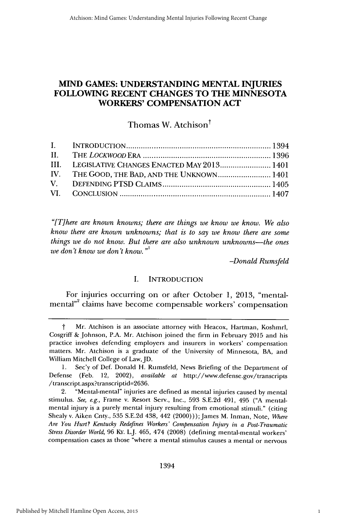# **MIND GAMES: UNDERSTANDING MENTAL INJURIES FOLLOWING RECENT CHANGES TO THE MINNESOTA WORKERS' COMPENSATION ACT**

# Thomas W. Atchison $^{\dagger}$

| III. LEGISLATIVE CHANGES ENACTED MAY 2013 1401 |  |
|------------------------------------------------|--|
| IV. THE GOOD, THE BAD, AND THE UNKNOWN 1401    |  |
|                                                |  |
|                                                |  |
|                                                |  |

*"[There are known knowns; there are things we know we know. We also know there are known unknowns; that is to say we know there are some things we do not know. But there are also unknown unknowns-the ones we don't know we don't know."'*

*-Donald Rumsfeld*

# I. **INTRODUCTION**

For injuries occurring on or after October 1, 2013, "mentalmental"<sup>2</sup> claims have become compensable workers' compensation

1394

**t** Mr. Atchison is an associate attorney with Heacox, Hartman, Koshmrl, Cosgriff &.Johnson, P.A. Mr. Atchison joined the firm in February 2015 and his practice involves defending employers and insurers in workers' compensation matters. Mr. Atchison is a graduate of the University of Minnesota, BA, and William Mitchell College of Law, JD.

<sup>1.</sup> Sec'y of Def. Donald H. Rumsfeld, News Briefing of the Department of Defense (Feb. 12, 2002), *available at* http://www.defense.gov/transcripts /transcript.aspx?transcriptid=2636.

<sup>2. &</sup>quot;Mental-mental" injuries are defined as mental injuries caused by mental stimulus. *See,* **e.g.,** Frame v. Resort Serv., Inc., 593 **S.E.2d** 491, 495 **("A** mentalmental injury is a purely mental injury resulting from emotional stimuli." (citing Shealy v. Aiken Cnty., 535 **S.E.2d** 438, 442 (2000)));James M. Inman, Note, *Where Are You Hurt? Kentucky Redefines Workers' Compensation Injury in a Post-Traumatic Stress Disorder World,* **96** KY. L.J. 465, 474 **(2008)** (defining mental-mental workers' compensation cases as those "where a mental stimulus causes a mental or nervous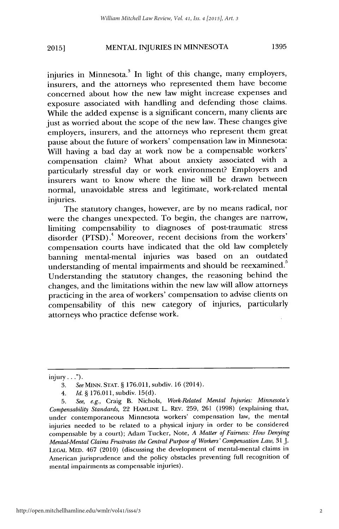# MENTAL INJURIES IN MINNESOTA **1395 2015]**

injuries in Minnesota.<sup>3</sup> In light of this change, many employers, insurers, and the attorneys who represented them have become concerned about how the new law might increase expenses and exposure associated with handling and defending those claims. While the added expense is a significant concern, many clients are just as worried about the scope of the new law. These changes give employers, insurers, and the attorneys who represent them great pause about the future of workers' compensation law in Minnesota: Will having a bad day at work now be a compensable workers' compensation claim? What about anxiety associated with a particularly stressful day or work environment? Employers and insurers want to know where the line will be drawn between normal, unavoidable stress and legitimate, work-related mental injuries.

The statutory changes, however, are by no means radical, nor were the changes unexpected. To begin, the changes are narrow, limiting compensability to diagnoses of post-traumatic stress disorder (PTSD).' Moreover, recent decisions from the workers' compensation courts have indicated that the old law completely banning mental-mental injuries was based on an outdated understanding of mental impairments and should be reexamined.<sup>5</sup> Understanding the statutory changes, the reasoning behind the changes, and the limitations within the new law will allow attorneys practicing in the area of workers' compensation to advise clients on compensability of this new category of injuries, particularly attorneys who practice defense work.

 $injury...$ ").

<sup>3.</sup> SeeMINN. STAT. § 176.011, subdiv. 16 (2014).

*<sup>4.</sup> Id. §* 176.011, subdiv. 15(d).

<sup>5.</sup> *See, e.g.,* Craig B. Nichols, *Work-Related Mental Injuries: Minnesota's Compensability Standards,* 22 **HAMLINE** L. REv. 259, 261 (1998) (explaining that, under contemporaneous Minnesota workers' compensation law, the mental injuries needed to be related to a physical injury in order to be considered compensable by a court); Adam Tucker, Note, *A Matter of Fairness: How Denying Mental-Mental Claims Frustrates the Central Purpose of Workers' Compensation Law, 31* **J. LEGAL** MED. 467 (2010) (discussing the development of mental-mental claims in American jurisprudence and the policy obstacles preventing full recognition of mental impairments as compensable injuries).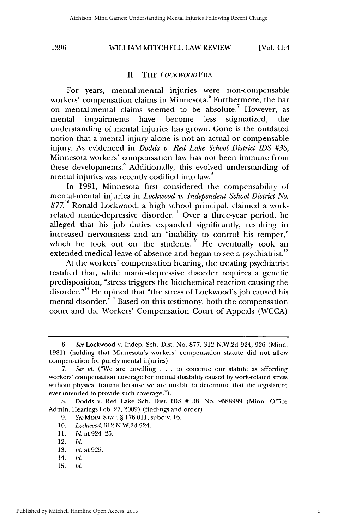#### **II.** THE *LOCKWOOD ERA*

For years, mental-mental injuries were non-compensable workers' compensation claims in Minnesota.<sup>6</sup> Furthermore, the bar on mental-mental claims seemed to be absolute.' However, as mental impairments have become less stigmatized, the understanding of mental injuries has grown. Gone is the outdated notion that a mental injury alone is not an actual or compensable injury. As evidenced in *Dodds v. Red Lake School District IDS #38,* Minnesota workers' compensation law has not been immune from these developments. $\delta$  Additionally, this evolved understanding of mental injuries was recently codified into law.<sup>9</sup>

In 1981, Minnesota first considered the compensability of mental-mental injuries in *Lockwood v. Independent School District No. 877.10* Ronald Lockwood, a high school principal, claimed a workrelated manic-depressive disorder." Over a three-year period, he alleged that his job duties expanded significantly, resulting in increased nervousness and an "inability to control his temper," which he took out on the students.<sup>12</sup> He eventually took an extended medical leave of absence and began to see a psychiatrist.<sup>13</sup>

At the workers' compensation hearing, the treating psychiatrist testified that, while manic-depressive disorder requires a genetic predisposition, "stress triggers the biochemical reaction causing the disorder."<sup>14</sup> He opined that "the stress of Lockwood's job caused his mental disorder.<sup>"15</sup> Based on this testimony, both the compensation court and the Workers' Compensation Court of Appeals (WCCA)

11. *Id.* at 924-25.

*<sup>6.</sup> See* Lockwood v. Indep. Sch. Dist. No. 877, 312 N.W.2d 924, 926 (Minn. 1981) (holding that Minnesota's workers' compensation statute did not allow compensation for purely mental injuries).

<sup>7.</sup> *See id.* ("We are unwilling . . . to construe our statute as affording workers' compensation coverage for mental disability caused by work-related stress without physical trauma because we are unable to determine that the legislature ever intended to provide such coverage.").

<sup>8.</sup> Dodds v. Red Lake Sch. Dist. IDS # 38, No. 9588989 (Minn. Office Admin. Hearings Feb. 27, 2009) (findings and order).

*<sup>9.</sup> See* MINN. STAT. § 176.011, subdiv. 16.

<sup>10.</sup> *Lockwood,* 312 N.W.2d 924.

<sup>12.</sup> *Id.*

<sup>13.</sup> Id. at 925.

<sup>14.</sup> *Id.*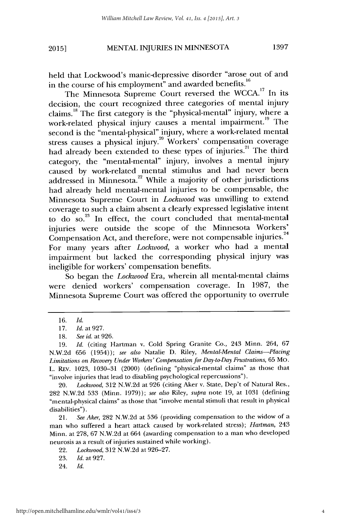# MENTAL INJURIES IN MINNESOTA **20151 1397**

held that Lockwood's manic-depressive disorder "arose out of and in the course of his employment" and awarded benefits.<sup>16</sup>

The Minnesota Supreme Court reversed the **WCCA.17** In its decision, the court recognized three categories of mental injury claims." The first category is the "physical-mental" injury, where a work-related physical injury causes a mental impairment.<sup>19</sup> The second is the "mental-physical" injury, where a work-related mental stress causes a physical injury.<sup>20</sup> Workers' compensation coverage had already been extended to these types of injuries.<sup>21</sup> The third category, the "mental-mental" injury, involves a mental injury caused by work-related mental stimulus and had never been  $addressed$  in Minnesota. $22$  While a majority of other jurisdictions had already held mental-mental injuries to be compensable, the Minnesota Supreme Court in *Lockwood* was unwilling to extend coverage to such a claim absent a clearly expressed legislative intent to do so. $^{23}$  In effect, the court concluded that mental-mental injuries were outside the scope of the Minnesota Workers' Compensation Act, and therefore, were not compensable injuries.<sup>24</sup> For many years after *Lockwood,* a worker who had a mental impairment but lacked the corresponding physical injury was ineligible for workers' compensation benefits.

So began the *Lockwood* Era, wherein all mental-mental claims were denied workers' compensation coverage. In 1987, the Minnesota Supreme Court was offered the opportunity to overrule

20. *Lockwood,* 312 N.W.2d at 926 (citing Aker v. State, Dep't of Natural Res., 282 N.W.2d 533 (Minn. 1979)); *see also* Riley, *supra* note 19, at 1031 (defining "mental-physical claims" as those that "involve mental stimuli that result in physical disabilities").

21. *See Aker,* 282 N.W.2d at 536 (providing compensation to the widow of a man who suffered a heart attack caused by work-related stress); *Hartman,* 243 Minn. at 278, 67 N.W.2d at 664 (awarding compensation to a man who developed neurosis as a result of injuries sustained while working).

22. *Lockwood,* 312 N.W.2d at 926-27.

23. *Id.* at 927.

<sup>16.</sup> *Id.*

<sup>17.</sup> *Id.* at 927.

<sup>18.</sup> See *id.* at 926.

<sup>19.</sup> *Id.* (citing Hartman v. Cold Spring Granite Co., 243 Minn. 264, 67 N.W.2d 656 (1954)); see *also* Natalie D. Riley, *Mental-Mental Claims-Placing* Limitations on Recovery Under *Workers' Compensation for Day-to-Day Frustrations,* 65 Mo. L. REV. 1023, 1030-31 (2000) (defining "physical-mental claims" as those that "involve injuries that lead to disabling psychological repercussions").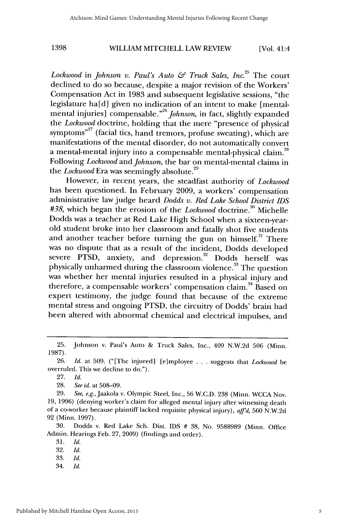Lockwood in *Johnson v. Paul's Auto & Truck Sales, Inc.*<sup>25</sup> The court declined to do so because, despite a major revision of the Workers' Compensation Act in 1983 and subsequent legislative sessions, "the legislature ha[d] given no indication of an intent to make [mentalmental injuries] compensable."<sup>26</sup> *Johnson*, in fact, slightly expanded the *Lockwood* doctrine, holding that the mere "presence of physical symptoms"<sup>27</sup> (facial tics, hand tremors, profuse sweating), which are manifestations of the mental disorder, do not automatically convert a mental-mental injury into a compensable mental-physical claim.<sup>28</sup> Following *Lockwood* and *Johnson,* the bar on mental-mental claims in <sup>29</sup> the *Lockwood* Era was seemingly absolute.

However, in recent years, the steadfast authority of *Lockwood* has been questioned. In February 2009, a workers' compensation administrative law judge heard *Dodds v. Red Lake School District IDS* #38, which began the erosion of the *Lockwood* doctrine.<sup>30</sup> Michelle Dodds was a teacher at Red Lake High School when a sixteen-yearold student broke into her classroom and fatally shot five students and another teacher before turning the gun on himself.<sup>31</sup> There was no dispute that as a result of the incident, Dodds developed severe PTSD, anxiety, and depression.<sup>32</sup> Dodds herself was physically unharmed during the classroom violence.<sup>33</sup> The question was whether her mental injuries resulted in a physical injury and therefore, a compensable workers' compensation claim.<sup>34</sup> Based on expert testimony, the judge found that because of the extreme mental stress and ongoing PTSD, the circuitry of Dodds' brain had been altered with abnormal chemical and electrical impulses, and

<sup>25.</sup> Johnson v. Paul's Auto & Truck Sales, Inc., 409 N.W.2d 506 (Minn. 1987).

<sup>26.</sup> *Id.* at 509. ("[The injured] [e]mployee ... suggests that *Lockwood* be overruled. This we decline to do.").

<sup>27.</sup> *Id.*

<sup>28.</sup> *See id.* at 508-09.

<sup>29.</sup> *See,* e.g.,Jaakola v. Olympic Steel, Inc., 56 W.C.D. 238 (Minn. WCCA Nov. 19, 1996) (denying worker's claim for alleged mental injury after witnessing death of a co-worker because plaintiff lacked requisite physical injury), *affd,* 560 N.W.2d 92 (Minn. 1997).

<sup>30.</sup> Dodds v. Red Lake Sch. Dist. IDS # 38, No. 9588989 (Minn. Office Admin. Hearings Feb. 27, 2009) (findings and order).

<sup>31.</sup> *Id.*

**<sup>32.</sup>** Id.

<sup>33.</sup> *Id.*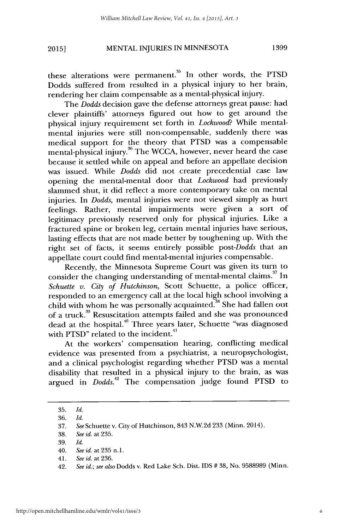# MENTAL INJURIES IN MINNESOTA **1399 2015]**

these alterations were permanent.<sup>35</sup> In other words, the PTSD Dodds suffered from resulted in a physical injury to her brain, rendering her claim compensable as a mental-physical injury.

The *Dodds* decision gave the defense attorneys great pause: had clever plaintiffs' attorneys figured out how to get around the physical injury requirement set forth in *Lockwood?* While mentalmental injuries were still non-compensable, suddenly there was medical support for the theory that PTSD was a compensable mental-physical injury.<sup>36</sup> The WCCA, however, never heard the case because it settled while on appeal and before an appellate decision was issued. While *Dodds* did not create precedential case law opening the mental-mental door that *Lockwood* had previously slammed shut, it did reflect a more contemporary take on mental injuries. In *Dodds,* mental injuries were not viewed simply as hurt feelings. Rather, mental impairments were given a sort of legitimacy previously reserved only for physical injuries. Like a fractured spine or broken leg, certain mental injuries have serious, lasting effects that are not made better by toughening up. With the right set of facts, it seems entirely possible *post-Dodds* that an appellate court could find mental-mental injuries compensable.

Recently, the Minnesota Supreme Court was given its turn to consider the changing understanding of mental-mental claims.<sup>37</sup> In *Schuette v. City of Hutchinson,* Scott Schuette, a police officer, responded to an emergency call at the local high school involving a child with whom he was personally acquainted.<sup>38</sup> She had fallen out of a truck."9 Resuscitation attempts failed and she was pronounced dead at the hospital.<sup>40</sup> Three years later, Schuette "was diagnosed with PTSD" related to the incident.<sup>41</sup>

At the workers' compensation hearing, conflicting medical evidence was presented from a psychiatrist, a neuropsychologist, and a clinical psychologist regarding whether PTSD was a mental disability that resulted in a physical injury to the brain, as was argued in *Dodds.2* The compensation judge found PTSD to

<sup>35.</sup> *Id.*

<sup>36.</sup> *Id.*

<sup>37.</sup> *See* Schuette v. City of Hutchinson, 843 N.W.2d 233 (Minn. 2014).

<sup>38.</sup> *See id.* at 235.

<sup>39.</sup> *Id.*

<sup>40.</sup> *See id.* at 235 **n.1.**

<sup>41.</sup> *See id.* at 236.

<sup>42.</sup> *See id.; see also* Dodds v. Red Lake Sch. Dist. IDS # 38, No. 9588989 (Minn.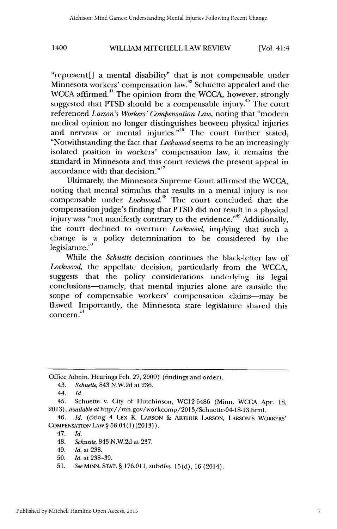"represent[] a mental disability" that is not compensable under Minnesota workers' compensation law.<sup>43</sup> Schuette appealed and the WCCA affirmed.<sup>44</sup> The opinion from the WCCA, however, strongly suggested that PTSD should be a compensable injury.<sup>45</sup> The court referenced *Larson's Workers' Compensation Law,* noting that "modern medical opinion no longer distinguishes between physical injuries and nervous or mental injuries.<sup>46</sup> The court further stated, "Notwithstanding the fact that *Lockwood* seems to be an increasingly isolated position in workers' compensation law, it remains the standard in Minnesota and this court reviews the present appeal in accordance with that decision."<sup>47</sup>

Ultimately, the Minnesota Supreme Court affirmed the WCCA, noting that mental stimulus that results in a mental injury is not compensable under *Lockwood.4 '* The court concluded that the compensation judge's finding that PTSD did not result in a physical injury was "not manifestly contrary to the evidence."<sup>49</sup> Additionally, the court declined to overturn *Lockwood,* implying that such a change is a policy determination to be considered by the legislature.<sup>50</sup>

While the *Schuette* decision continues the black-letter law of *Lockwood,* the appellate decision, particularly from the WCCA, suggests that the policy considerations underlying its legal conclusions-namely, that mental injuries alone are outside the scope of compensable workers' compensation claims-may be flawed. Importantly, the Minnesota state legislature shared this concern.<sup>51</sup>

Office Admin. Hearings Feb. 27, 2009) (findings and order).

43. *Schuette,* 843 N.W.2d at 236.

45. Schuette v. City of Hutchinson, WC12-5486 (Minn. WCCA Apr. 18, 2013), *available at* http://mn.gov/workcomp/2013/Schuette-04-18-13.html.

46. *Id.* (citing 4 LEx K. LARSON **& ARTHUR** LARSON, **LARSON'S** WORKERS' COMPENSATION **LAw** § 56.04(1) (2013)).

<sup>44.</sup> *Id.*

<sup>48.</sup> *Schuette,* 843 N.W.2d at 237.

<sup>49.</sup> *Id.* at 238.

<sup>50.</sup> *Id.* at 238-39.

<sup>51.</sup> SeeMINN. **STAT.§** 176.011, subdivs. 15(d), 16 (2014).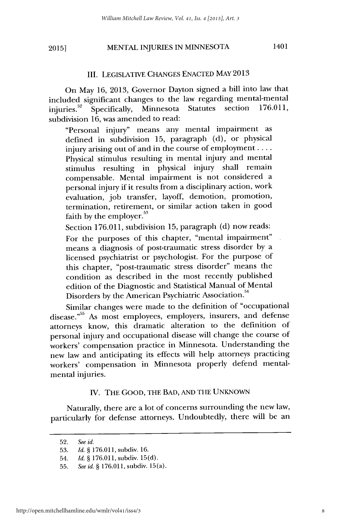# MENTAL INJURIES IN MINNESOTA 1401 **2015]**

#### III. LEGISLATIVE CHANGES ENACTED MAY 2013

On May 16, 2013, Governor Dayton signed a bill into law that included significant changes to the law regarding mental-mental<br>injuries<sup>52</sup> Specifically Minnesota Statutes section 176.011, injuries.<sup>52</sup> Specifically, Minnesota Statutes section subdivision 16, was amended to read:

"Personal injury" means any mental impairment as defined in subdivision 15, paragraph (d), or physical injury arising out of and in the course of employment .... Physical stimulus resulting in mental injury and mental stimulus resulting in physical injury shall remain compensable. Mental impairment is not considered a personal injury if it results from a disciplinary action, work evaluation, job transfer, layoff, demotion, promotion, termination, retirement, or similar action taken in good faith by the employer. $53$ 

Section 176.011, subdivision 15, paragraph (d) now reads:

For the purposes of this chapter, "mental impairment" means a diagnosis of post-traumatic stress disorder by a licensed psychiatrist or psychologist. For the purpose of this chapter, "post-traumatic stress disorder" means the condition as described in the most recently published edition of the Diagnostic and Statistical Manual of Mental Disorders by the American Psychiatric Association.

Similar changes were made to the definition of "occupational disease."<sup>55</sup> As most employees, employers, insurers, and defense attorneys know, this dramatic alteration to the definition of personal injury and occupational disease will change the course of workers' compensation practice in Minnesota. Understanding the new law and anticipating its effects will help attorneys practicing workers' compensation in Minnesota properly defend mentalmental injuries.

# IV. THE GOOD, THE BAD, AND THE UNKNOWN

Naturally, there are a lot of concerns surrounding the new law, particularly for defense attorneys. Undoubtedly, there will be an

<sup>52.</sup> *See id.*

<sup>53.</sup> *Id.* § 176.011, subdiv. 16.

<sup>54.</sup> *Id.* § 176.011, subdiv. 15(d).

<sup>55.</sup> *See id.* § 176.011, subdiv. 15(a).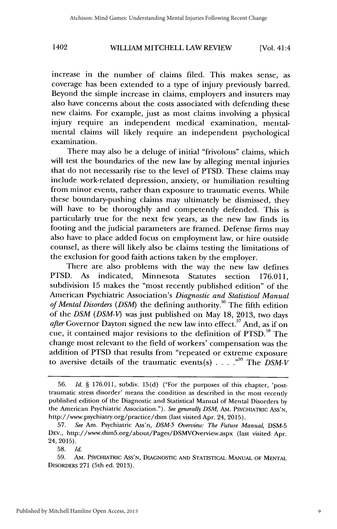increase in the number of claims filed. This makes sense, as coverage has been extended to a type of injury previously barred. Beyond the simple increase in claims, employers and insurers may also have concerns about the costs associated with defending these new claims. For example, just as most claims involving a physical injury require an independent medical examination, mentalmental claims will likely require an independent psychological examination.

There may also be a deluge of initial "frivolous" claims, which will test the boundaries of the new law by alleging mental injuries that do not necessarily rise to the level of PTSD. These claims may include work-related depression, anxiety, or humiliation resulting from minor events, rather than exposure to traumatic events. While these boundary-pushing claims may ultimately be dismissed, they will have to be thoroughly and competently defended. This is particularly true for the next few years, as the new law finds its footing and the judicial parameters are framed. Defense firms may also have to place added focus on employment law, or hire outside counsel, as there will likely also be claims testing the limitations of the exclusion for good faith actions taken by the employer.

There are also problems with the way the new law defines PTSD. As indicated, Minnesota Statutes section 176.011, subdivision 15 makes the "most recently published edition" of the American Psychiatric Association's *Diagnostic and Statistical Manual* of Mental Disorders (DSM) the defining authority.<sup>56</sup> The fifth edition of the *DSM (DSM-V)* was just published on May 18, 2013, two days after Governor Dayton signed the new law into effect.<sup>57</sup> And, as if or cue, it contained major revisions to the definition of PTSD.<sup>58</sup> The change most relevant to the field of workers' compensation was the addition of PTSD that results from "repeated or extreme exposure to aversive details of the traumatic events(s)  $\ldots$ ,  $\frac{1}{2}$ ,  $\ldots$   $\frac{59}{2}$  The *DSM-V* 

<sup>56.</sup> *Id.* § 176.011, subdiv. 15(d) ("For the purposes of this chapter, 'posttraumatic stress disorder' means the condition as described in the most recently published edition of the Diagnostic and Statistical Manual of Mental Disorders by the American Psychiatric Association."). See generally DSM, AM. PSYCHIATRIC Ass'N. http://www.psychiatiy.org/practice/dsm (last visited Apr. 24, 2015).

<sup>57.</sup> *See* Am. Psychiatric Ass'n, *DSM-5 Overview: The Future Manual,* DSM-5 DEv., http://www.dsm5.org/about/Pages/DSMVOverview.aspx (last visited Apr. 24, 2015).

<sup>58.</sup> *Id.*

<sup>59.</sup> AM. PSYCHIATRIc ASS'N, **DIAGNOSTIC AND STATISTICAL MANUAL** OF MENrAL DISORDERS 271 (5th ed. 2013).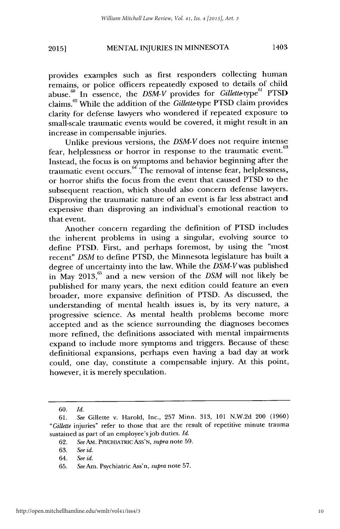# MENTAL INJURIES **IN** MINNESOTA 1403 **20151**

provides examples such as first responders collecting human remains, or police officers repeatedly exposed to details of child abuse. In essence, the *DSM-V* provides for *Gillette-type"'* PTSD claims. 62 While the addition of the *Gillette-type* PTSD claim provides clarity for defense lawyers who wondered if repeated exposure to small-scale traumatic events would be covered, it might result in an increase in compensable injuries.

Unlike previous versions, the *DSM-V* does not require intense fear, helplessness or horror in response to the traumatic event.<sup>63</sup> Instead, the focus is on symptoms and behavior beginning after the traumatic event occurs. $64 \text{ The removal of}$  intense fear, helplessness, or horror shifts the focus from the event that caused PTSD to the subsequent reaction, which should also concern defense lawyers. Disproving the traumatic nature of an event is far less abstract and expensive than disproving an individual's emotional reaction to that event.

Another concern regarding the definition of PTSD includes the inherent problems in using a singular, evolving source to define PTSD. First, and perhaps foremost, by using the "most recent" *DSM* to define PTSD, the Minnesota legislature has built a degree of uncertainty into the law. While the *DSM-Vwas* published in May 2013,<sup>65</sup> and a new version of the *DSM* will not likely be published for many years, the next edition could feature an even broader, more expansive definition of PTSD. As discussed, the understanding of mental health issues is, by its very nature, a progressive science. As mental health problems become more accepted and as the science surrounding the diagnoses becomes more refined, the definitions associated with mental impairments expand to include more symptoms and triggers. Because of these definitional expansions, perhaps even having a bad day at work could, one day, constitute a compensable injury. At this point, however, it is merely speculation.

<sup>60.</sup> *Id.*

<sup>61.</sup> *See* Gillette v. Harold, Inc., 257 Minn. 313, 101 N.W.2d 200 (1960) *"Gillette* injuries" refer to those that are the result of repetitive minute trauma sustained as part of an employee's job duties. *Id.*

<sup>62.</sup> *See Am.* PSYCHIATRIc ASS'N, *supra* note 59.

<sup>63.</sup> *See id.*

<sup>64.</sup> *See id.*

<sup>65.</sup> *See* Am. Psychiatric Ass'n, *supra* note 57.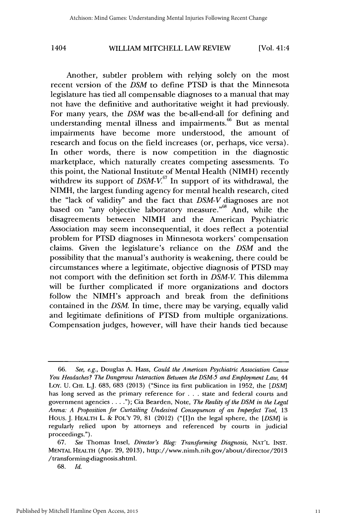Another, subtler problem with relying solely on the most recent version of the *DSM* to define PTSD is that the Minnesota legislature has tied all compensable diagnoses to a manual that may not have the definitive and authoritative weight it had previously. For many years, the *DSM* was the be-all-end-all for defining and understanding mental illness and impairments.<sup>66</sup> But as mental impairments have become more understood, the amount of research and focus on the field increases (or, perhaps, vice versa). In other words, there is now competition in the diagnostic marketplace, which naturally creates competing assessments. To this point, the National Institute of Mental Health (NIMH) recently withdrew its support of  $DSM-V^{67}$  In support of its withdrawal, the NIMH, the largest funding agency for mental health research, cited the "lack of validity" and the fact that *DSM-V* diagnoses are not based on "any objective laboratory measure."<sup>68</sup> And, while the disagreements between NIMH and the American Psychiatric Association may seem inconsequential, it does reflect a potential problem for PTSD diagnoses in Minnesota workers' compensation claims. Given the legislature's reliance on the *DSM* and the possibility that the manual's authority is weakening, there could be circumstances where a legitimate, objective diagnosis of PTSD may not comport with the definition set forth in *DSM-V* This dilemma will be further complicated if more organizations and doctors follow the NIMH's approach and break from the definitions contained in the *DSM.* In time, there may be varying, equally valid and legitimate definitions of PTSD from multiple organizations. Compensation judges, however, will have their hands tied because

<sup>66.</sup> *See, e.g.,* Douglas A. Hass, *Could the American Psychiatric Association Cause You Headaches? The Dangerous Interaction Between the DSM-5 and Employment Law,* 44 Loy. U. CHI. L.J. 683, 683 (2013) ("Since its first publication in 1952, the *[DSM]* has long served as the primary reference for ... state and federal courts and government agencies **....");** Cia Bearden, Note, *The Reality of the DSM in the Legal Arena: A Proposition for Curtailing Undesired Consequences of an Imperfect Tool,* 13 Hous. J. HEALTH L. & POL'Y *79,* 81 (2012) ("[I]n the legal sphere, the *[DSM]* is regularly relied upon by attorneys and referenced by courts in judicial proceedings.").

<sup>67.</sup> *See* Thomas Insel, *Director's Blog: Transforming Diagnosis,* NAT'L INST. **MENTAL HEALTH** (Apr. **29, 2013),** http://www.nimh.nih.gov/about/director/2013 /transforming-diagnosis.shtml.

<sup>68.</sup> *Id.*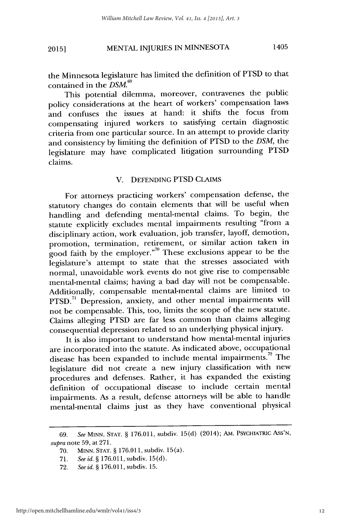# MENTAL INJURIES IN MINNESOTA 1405 **2015]**

the Minnesota legislature has limited the definition of PTSD to that contained in the **DSM.69**

This potential dilemma, moreover, contravenes the public policy considerations at the heart of workers' compensation laws and confuses the issues at hand: it shifts the focus from compensating injured workers to satisfying certain diagnostic criteria from one particular source. In an attempt to provide clarity and consistency by limiting the definition of PTSD to the *DSM,* the legislature may have complicated litigation surrounding PTSD claims.

### V. DEFENDING PTSD CLAIMS

For attorneys practicing workers' compensation defense, the statutory changes do contain elements that will be useful when handling and defending mental-mental claims. To begin, the statute explicitly excludes mental impairments resulting "from a disciplinary action, work evaluation, job transfer, layoff, demotion, promotion, termination, retirement, or similar action taken in good faith by the employer."<sup>70</sup> These exclusions appear to be the legislature's attempt to state that the stresses associated with normal, unavoidable work events do not give rise to compensable mental-mental claims; having a bad day will not be compensable. Additionally, compensable mental-mental claims are limited to PTSD.<sup>71</sup> Depression, anxiety, and other mental impairments will not be compensable. This, too, limits the scope of the new statute. Claims alleging PTSD are far less common than claims alleging consequential depression related to an underlying physical injury.

It is also important to understand how mental-mental injuries are incorporated into the statute. As indicated above, occupational disease has been expanded to include mental impairments.<sup>72</sup> The legislature did not create a new injury classification with new procedures and defenses. Rather, it has expanded the existing definition of occupational disease to include certain mental impairments. As a result, defense attorneys will be able to handle mental-mental claims just as they have conventional physical

<sup>69.</sup> *See* MINN. **STAT.** § 176.011, subdiv. 15(d) (2014); AM. PSYCHIATRic ASS'N, *supra* note 59, at 271.

<sup>70.</sup> MINN. STAT. § 176.011, subdiv. 15(a).

<sup>71.</sup> *See id.* § 176.011, subdiv. 15(d).

<sup>72.</sup> *See id.* **§** 176.011, subdiv. 15.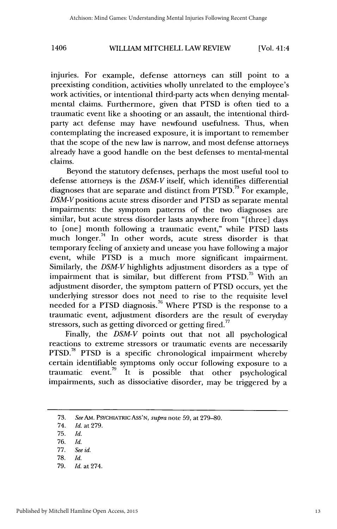injuries. For example, defense attorneys can still point to a preexisting condition, activities wholly unrelated to the employee's work activities, or intentional third-party acts when denying mentalmental claims. Furthermore, given that PTSD is often tied to a traumatic event like a shooting or an assault, the intentional thirdparty act defense may have newfound usefulness. Thus, when contemplating the increased exposure, it is important to remember that the scope of the new law is narrow, and most defense attorneys already have a good handle on the best defenses to mental-mental claims.

Beyond the statutory defenses, perhaps the most useful tool to defense attorneys is the *DSM-V* itself, which identifies differential diagnoses that are separate and distinct from PTSD.<sup>73</sup> For example, DSM-V positions acute stress disorder and PTSD as separate mental impairments: the symptom patterns of the two diagnoses are similar, but acute stress disorder lasts anywhere from "[three] days to [one] month following a traumatic event," while PTSD lasts much longer. $74$  In other words, acute stress disorder is that temporary feeling of anxiety and unease you have following a major event, while PTSD is a much more significant impairment. Similarly, the *DSM-V* highlights adjustment disorders as a type of impairment that is similar, but different from PTSD.<sup>75</sup> With an adjustment disorder, the symptom pattern of PTSD occurs, yet the underlying stressor does not need to rise to the requisite level needed for a PTSD diagnosis.<sup>76</sup> Where PTSD is the response to a traumatic event, adjustment disorders are the result of everyday stressors, such as getting divorced or getting fired. $77$ 

Finally, the *DSM-V* points out that not all psychological reactions to extreme stressors or traumatic events are necessarily PTSD.<sup>78</sup> PTSD is a specific chronological impairment whereby certain identifiable symptoms only occur following exposure to a traumatic event.<sup>79</sup> It is possible that other psychological impairments, such as dissociative disorder, may be triggered by a

75. *Id.*

79. *Id.* at 274.

<sup>73.</sup> *See Am.* PSYCHIATRIc ASS'N, *supra* note 59, at 279-80.

<sup>74.</sup> *Id.* at 279.

<sup>76.</sup> *Id.*

<sup>77.</sup> See *id.*

**<sup>78.</sup>** *Id.*